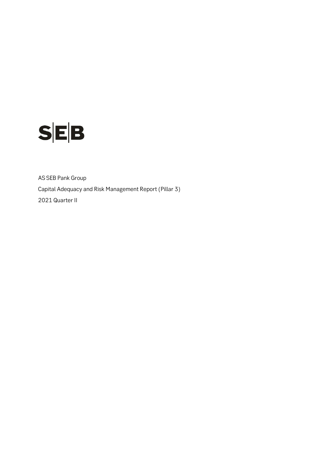

AS SEB Pank Group Capital Adequacy and Risk Management Report (Pillar 3) 2021 Quarter II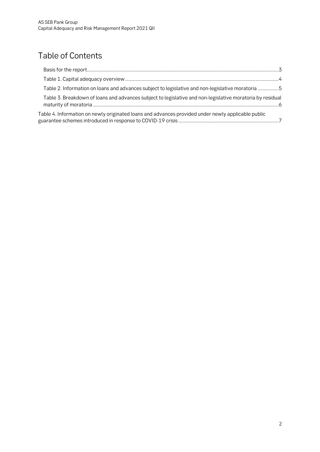# Table of Contents

<span id="page-1-0"></span>

| Table 2. Information on loans and advances subject to legislative and non-legislative moratoria 5         |  |
|-----------------------------------------------------------------------------------------------------------|--|
| Table 3. Breakdown of loans and advances subject to legislative and non-legislative moratoria by residual |  |
| Table 4. Information on newly originated loans and advances provided under newly applicable public        |  |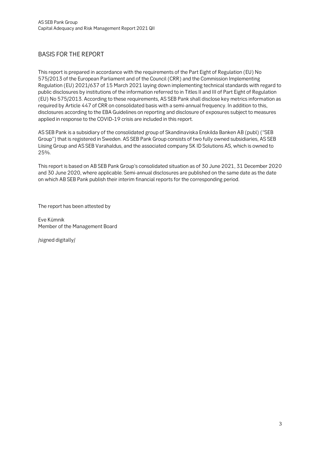#### BASIS FOR THE REPORT

This report is prepared in accordance with the requirements of the Part Eight of Regulation (EU) No 575/2013 of the European Parliament and of the Council (CRR) and the Commission Implementing Regulation (EU) 2021/637 of 15 March 2021 laying down implementing technical standards with regard to public disclosures by institutions of the information referred to in Titles II and III of Part Eight of Regulation (EU) No 575/2013. According to these requirements, AS SEB Pank shall disclose key metrics information as required by Article 447 of CRR on consolidated basis with a semi-annual frequency. In addition to this, disclosures according to the EBA Guidelines on reporting and disclosure of exposures subject to measures applied in response to the COVID‐19 crisis are included in this report.

AS SEB Pank is a subsidiary of the consolidated group of Skandinaviska Enskilda Banken AB (publ) ("SEB Group") that is registered in Sweden. AS SEB Pank Group consists of two fully owned subsidiaries, AS SEB Liising Group and AS SEB Varahaldus, and the associated company SK ID Solutions AS, which is owned to 25%.

This report is based on AB SEB Pank Group's consolidated situation as of 30 June 2021, 31 December 2020 and 30 June 2020, where applicable. Semi-annual disclosures are published on the same date as the date on which AB SEB Pank publish their interim financial reports for the corresponding period.

The report has been attested by

Eve Kümnik Member of the Management Board

/signed digitally/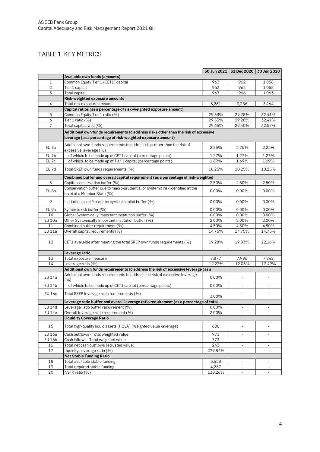### <span id="page-3-0"></span>TABLE 1. KEY METRICS

<span id="page-3-1"></span>

|                  |                                                                                                                                                    |         | 30 Jun 2021 31 Dec 2020 30 Jun 2020 |                          |
|------------------|----------------------------------------------------------------------------------------------------------------------------------------------------|---------|-------------------------------------|--------------------------|
|                  | Available own funds (amounts)                                                                                                                      |         |                                     |                          |
| $\mathbf{1}$     | Common Equity Tier 1 (CET1) capital                                                                                                                | 963     | 962                                 | 1,058                    |
| $\overline{2}$   | Tier 1 capital                                                                                                                                     | 963     | 962                                 | 1,058                    |
| 3                | Total capital                                                                                                                                      | 967     | 966                                 | 1,063                    |
|                  | Risk-weighted exposure amounts                                                                                                                     |         |                                     |                          |
| 4                | Total risk exposure amount                                                                                                                         | 3,261   | 3,286                               | 3,264                    |
|                  | Capital ratios (as a percentage of risk-weighted exposure amount)                                                                                  |         |                                     |                          |
| 5                | Common Equity Tier 1 ratio (%)                                                                                                                     | 29.53%  | 29.28%                              | 32.41%                   |
| 6                | Tier 1 ratio (%)                                                                                                                                   | 29.53%  | 29.28%                              | 32.41%                   |
| 7                | Total capital ratio (%)                                                                                                                            | 29.65%  | 29.40%                              | 32.57%                   |
|                  | Additional own funds requirements to address risks other than the risk of excessive<br>leverage (as a percentage of risk-weighted exposure amount) |         |                                     |                          |
|                  | Additional own funds requirements to address risks other than the risk of                                                                          |         |                                     |                          |
| EU 7a            | excessive leverage (%)                                                                                                                             | 2.25%   | 2.25%                               | 2.25%                    |
| EU 7b            | of which: to be made up of CET1 capital (percentage points)                                                                                        | 1.27%   | 1.27%                               | 1.27%                    |
| EU <sub>7c</sub> | of which: to be made up of Tier 1 capital (percentage points)                                                                                      | 1.69%   | 1.69%                               | 1.69%                    |
| EU 7d            | Total SREP own funds requirements (%)                                                                                                              | 10.25%  | 10.25%                              | 10.25%                   |
|                  | Combined buffer and overall capital requirement (as a percentage of risk-weighted                                                                  |         |                                     |                          |
| 8                | Capital conservation buffer (%)                                                                                                                    | 2.50%   | 2.50%                               | 2.50%                    |
| EU 8a            | Conservation buffer due to macro-prudential or systemic risk identified at the<br>level of a Member State (%)                                      | 0.00%   | 0.00%                               | $0.00\%$                 |
| 9                | Institution specific countercyclical capital buffer (%)                                                                                            | 0.00%   | 0.00%                               | 0.00%                    |
| EU 9a            | Systemic risk buffer (%)                                                                                                                           | 0.00%   | 0.00%                               | 0.00%                    |
| 10               | Global Systemically Important Institution buffer (%)                                                                                               | 0.00%   | 0.00%                               | 0.00%                    |
| <b>EU 10a</b>    | Other Systemically Important Institution buffer (%)                                                                                                | 2.00%   | 2.00%                               | 2.00%                    |
| 11               | Combined buffer requirement (%)                                                                                                                    | 4.50%   | 4.50%                               | 4.50%                    |
| <b>EU 11a</b>    | Overall capital requirements (%)                                                                                                                   | 14.75%  | 14.75%                              | 14.75%                   |
| 12               | CET1 available after meeting the total SREP own funds requirements (%)                                                                             | 19.28%  | 19.03%                              | 22.16%                   |
|                  | Leverage ratio                                                                                                                                     |         |                                     |                          |
| 13               | Total exposure measure                                                                                                                             | 7,877   | 7,996                               | 7,842                    |
| 14               | Leverage ratio (%)                                                                                                                                 | 12.22%  | 12.03%                              | 13.49%                   |
|                  | Additional own funds requirements to address the risk of excessive leverage (as a                                                                  |         |                                     |                          |
| EU 14a           | Additional own funds requirements to address the risk of excessive leverage<br>(%)                                                                 | 0,00%   |                                     |                          |
| <b>EU 14b</b>    | of which: to be made up of CET1 capital (percentage points)                                                                                        | 0.00%   |                                     |                          |
| <b>EU 14c</b>    | Total SREP leverage ratio requirements (%)                                                                                                         | 3.00%   |                                     |                          |
|                  | Leverage ratio buffer and overall leverage ratio requirement (as a percentage of total                                                             |         |                                     |                          |
| <b>EU 14d</b>    | Leverage ratio buffer requirement (%)                                                                                                              | 0.00%   |                                     |                          |
| <b>EU 14e</b>    | Overall leverage ratio requirement (%)                                                                                                             | 3.00%   | $\sim$                              | $\bar{\phantom{a}}$      |
|                  | <b>Liquidity Coverage Ratio</b>                                                                                                                    |         |                                     |                          |
| 15               | Total high-quality liquid assets (HQLA) (Weighted value -average)                                                                                  | 680     |                                     |                          |
| <b>EU 16a</b>    | Cash outflows - Total weighted value                                                                                                               | 971     | $\overline{\phantom{a}}$            | ÷,                       |
| EU 16b           | Cash inflows - Total weighted value                                                                                                                | 773     | $\bar{a}$                           | $\overline{\phantom{a}}$ |
| 16               | Total net cash outflows (adjusted value)                                                                                                           | 243     | $\overline{\phantom{a}}$            | $\overline{\phantom{a}}$ |
| 17               | Liquidity coverage ratio (%)                                                                                                                       | 279.84% |                                     |                          |
|                  | <b>Net Stable Funding Ratio</b>                                                                                                                    |         |                                     |                          |
| 18               | Total available stable funding                                                                                                                     | 5,558   | $\overline{\phantom{a}}$            | $\overline{\phantom{a}}$ |
| 19               | Total required stable funding                                                                                                                      | 4,267   |                                     |                          |
| 20               | NSFR ratio (%)                                                                                                                                     | 130.26% | $\omega$                            | $\mathcal{L}$            |
|                  |                                                                                                                                                    |         |                                     |                          |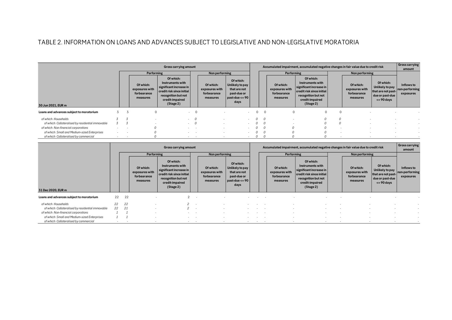## TABLE 2. INFORMATION ON LOANS AND ADVANCES SUBJECT TO LEGISLATIVE AND NON-LEGISLATIVE MORATORIA

|                                                   |   |                                                        | Gross carrying amount                                                                                                                        |          |                                                        |                                                                                                       |          |                                                        |            |                                                                                                                                              |                | Accumulated impairment, accumulated negative changes in fair value due to credit risk |                                                                                         | <b>Gross carrying</b><br>amount           |
|---------------------------------------------------|---|--------------------------------------------------------|----------------------------------------------------------------------------------------------------------------------------------------------|----------|--------------------------------------------------------|-------------------------------------------------------------------------------------------------------|----------|--------------------------------------------------------|------------|----------------------------------------------------------------------------------------------------------------------------------------------|----------------|---------------------------------------------------------------------------------------|-----------------------------------------------------------------------------------------|-------------------------------------------|
|                                                   |   | Performing                                             |                                                                                                                                              |          | Non performing                                         |                                                                                                       |          |                                                        | Performing |                                                                                                                                              | Non performing |                                                                                       |                                                                                         |                                           |
| 30 Jun 2021, EUR m                                |   | Of which:<br>exposures with<br>forbearance<br>measures | Of which:<br>Instruments with<br>significant increase in<br>credit risk since initial<br>recognition but not<br>credit-impaired<br>(Stage 2) |          | Of which:<br>exposures with<br>forbearance<br>measures | Of which:<br>Unlikely to pay<br>that are not<br>past-due or<br>$\vert$ past-due <= 90 $\vert$<br>days |          | Of which:<br>exposures with<br>forbearance<br>measures |            | Of which:<br>Instruments with<br>significant increase in<br>credit risk since initial<br>recognition but not<br>credit-impaired<br>(Stage 2) |                | Of which:<br>exposures with<br>forbearance<br>measures                                | Of which:<br>Unlikely to pay<br>that are not past-<br>due or past-due<br>$\leq$ 90 days | Inflows to<br>non-performing<br>exposures |
| Loans and advances subject to moratorium          | 3 | $\Omega$                                               |                                                                                                                                              | $\Omega$ | $\sim$                                                 | $\sim$                                                                                                |          | $\Omega$                                               |            | 0                                                                                                                                            |                |                                                                                       |                                                                                         |                                           |
| of which: Households                              |   |                                                        | ۰.                                                                                                                                           |          |                                                        | ۰.                                                                                                    | 0        |                                                        |            |                                                                                                                                              |                |                                                                                       |                                                                                         |                                           |
| of which: Collateralised by residential immovable |   |                                                        | $\sim$                                                                                                                                       |          |                                                        | $\sim$                                                                                                | $\Omega$ |                                                        |            |                                                                                                                                              |                |                                                                                       |                                                                                         |                                           |
| of which: Non-financial corporations              |   |                                                        | $\sim$                                                                                                                                       |          |                                                        | $\sim$                                                                                                |          |                                                        |            |                                                                                                                                              |                |                                                                                       |                                                                                         |                                           |
| of which: Small and Medium-sized Enterprises      |   |                                                        |                                                                                                                                              |          |                                                        |                                                                                                       |          |                                                        |            |                                                                                                                                              |                |                                                                                       |                                                                                         |                                           |
| of which: Collateralised by commercial            |   |                                                        | . .                                                                                                                                          | $\sim$   |                                                        | $\sim$                                                                                                | U        |                                                        |            |                                                                                                                                              |                |                                                                                       |                                                                                         |                                           |

|                                                   |    | Gross carrying amount |                                                        |                                                                                                                                              |     |                                                        |                                                                                           |        |  | Accumulated impairment, accumulated negative changes in fair value due to credit risk |                                                                                                                                              |  |                                                        |                                                                                         |                                           |
|---------------------------------------------------|----|-----------------------|--------------------------------------------------------|----------------------------------------------------------------------------------------------------------------------------------------------|-----|--------------------------------------------------------|-------------------------------------------------------------------------------------------|--------|--|---------------------------------------------------------------------------------------|----------------------------------------------------------------------------------------------------------------------------------------------|--|--------------------------------------------------------|-----------------------------------------------------------------------------------------|-------------------------------------------|
|                                                   |    |                       | Performing                                             |                                                                                                                                              |     | Non performing                                         |                                                                                           |        |  | Performing                                                                            |                                                                                                                                              |  | Non performing                                         |                                                                                         |                                           |
| 31 Dec 2020, EUR m                                |    |                       | Of which:<br>exposures with<br>forbearance<br>measures | Of which:<br>Instruments with<br>significant increase in<br>credit risk since initial<br>recognition but not<br>credit-impaired<br>(Stage 2) |     | Of which:<br>exposures with<br>forbearance<br>measures | Of which:<br>Unlikely to pay<br>that are not<br>past-due or<br>past-due $\leq$ 90<br>days |        |  | Of which:<br>exposures with<br>forbearance<br>measures                                | Of which:<br>Instruments with<br>significant increase in<br>credit risk since initial<br>recognition but not<br>credit-impaired<br>(Stage 2) |  | Of which:<br>exposures with<br>forbearance<br>measures | Of which:<br>Unlikely to pay<br>that are not past-<br>due or past-due<br>$\leq$ 90 days | Inflows to<br>non-performing<br>exposures |
| Loans and advances subject to moratorium          | 22 | 22                    |                                                        |                                                                                                                                              | . . |                                                        |                                                                                           |        |  |                                                                                       |                                                                                                                                              |  |                                                        |                                                                                         |                                           |
| of which: Households                              | 22 | 22                    |                                                        |                                                                                                                                              | . . |                                                        |                                                                                           |        |  |                                                                                       |                                                                                                                                              |  |                                                        |                                                                                         |                                           |
| of which: Collateralised by residential immovable | 22 | 21                    |                                                        |                                                                                                                                              |     |                                                        |                                                                                           |        |  |                                                                                       |                                                                                                                                              |  |                                                        |                                                                                         |                                           |
| of which: Non-financial corporations              |    |                       |                                                        |                                                                                                                                              |     |                                                        |                                                                                           | $\sim$ |  |                                                                                       |                                                                                                                                              |  |                                                        | <b>COL</b>                                                                              |                                           |
| of which: Small and Medium-sized Enterprises      |    |                       |                                                        |                                                                                                                                              |     |                                                        |                                                                                           |        |  |                                                                                       |                                                                                                                                              |  |                                                        | <b>COL</b>                                                                              |                                           |
| of which: Collateralised by commercial            |    |                       |                                                        |                                                                                                                                              |     |                                                        |                                                                                           | $\sim$ |  |                                                                                       |                                                                                                                                              |  |                                                        |                                                                                         | $\sim$                                    |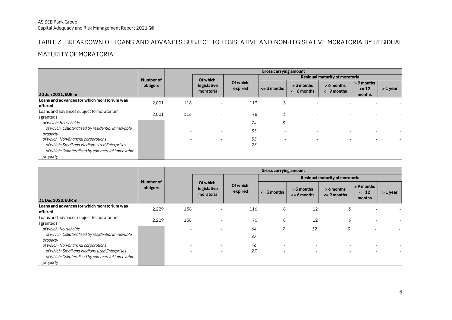#### TABLE 3. BREAKDOWN OF LOANS AND ADVANCES SUBJECT TO LEGISLATIVE AND NON-LEGISLATIVE MORATORIA BY RESIDUAL

#### MATURITY OF MORATORIA

|                                                                                                  |           |           |                          |                                | Gross carrying amount    |                                 |                                 |                                   |          |  |
|--------------------------------------------------------------------------------------------------|-----------|-----------|--------------------------|--------------------------------|--------------------------|---------------------------------|---------------------------------|-----------------------------------|----------|--|
|                                                                                                  | Number of | Of which: |                          | Residual maturity of moratoria |                          |                                 |                                 |                                   |          |  |
| 30 Jun 2021, EUR m                                                                               | obligors  |           | legislative<br>moratoria | Of which:<br>expired           | $\leq$ 3 months          | $> 3$ months<br>$\leq$ 6 months | $> 6$ months<br>$\leq$ 9 months | > 9 months<br>$\leq 12$<br>months | > 1 year |  |
| Loans and advances for which moratorium was<br>offered                                           | 2,001     | 116       |                          | 113                            | 3                        |                                 |                                 |                                   |          |  |
| Loans and advances subject to moratorium<br>(granted)                                            | 2,001     | 116       |                          | 78                             | 3                        |                                 |                                 |                                   |          |  |
| of which: Households                                                                             |           |           |                          | 74                             | 3                        |                                 |                                 |                                   |          |  |
| of which: Collateralised by residential immovable<br>property                                    |           |           |                          | 35                             |                          |                                 |                                 |                                   |          |  |
| of which: Non-financial corporations                                                             |           |           | $\overline{\phantom{a}}$ | 35                             | $\overline{\phantom{a}}$ | $\overline{\phantom{a}}$        |                                 |                                   |          |  |
| of which: Small and Medium-sized Enterprises<br>of which: Collateralised by commercial immovable |           |           | $\overline{\phantom{a}}$ | 23                             | $\overline{\phantom{a}}$ | $\overline{\phantom{a}}$        |                                 | $\overline{\phantom{a}}$          |          |  |
| property                                                                                         |           |           | $\overline{\phantom{a}}$ |                                | $\overline{\phantom{a}}$ |                                 |                                 |                                   |          |  |

<span id="page-5-0"></span>

|                                                               |                       |     |                                       |                          | Gross carrying amount          |                                   |                               |                                     |          |  |  |  |
|---------------------------------------------------------------|-----------------------|-----|---------------------------------------|--------------------------|--------------------------------|-----------------------------------|-------------------------------|-------------------------------------|----------|--|--|--|
|                                                               |                       |     |                                       |                          | Residual maturity of moratoria |                                   |                               |                                     |          |  |  |  |
| 31 Dec 2020, EUR m                                            | Number of<br>obligors |     | Of which:<br>legislative<br>moratoria | Of which:<br>expired     | $\leq$ 3 months                | $> 3$ months<br>$\leq$ = 6 months | > 6 months<br>$\leq$ 9 months | $> 9$ months<br>$\leq 12$<br>months | > 1 year |  |  |  |
| Loans and advances for which moratorium was<br>offered        | 2,229                 | 138 | $\overline{\phantom{a}}$              | 116                      | 8                              | 12                                | 5                             |                                     |          |  |  |  |
| Loans and advances subject to moratorium<br>(granted)         | 2,229                 | 138 |                                       | 70                       | 8                              | 12                                | 3                             |                                     |          |  |  |  |
| of which: Households                                          |                       |     | $\overline{\phantom{a}}$              | 64                       | $\overline{ }$                 | 12                                | 3                             | $\sim$                              |          |  |  |  |
| of which: Collateralised by residential immovable<br>property |                       |     |                                       | 46                       |                                |                                   |                               |                                     |          |  |  |  |
| of which: Non-financial corporations                          |                       |     |                                       | 46                       |                                |                                   |                               |                                     |          |  |  |  |
| of which: Small and Medium-sized Enterprises                  |                       |     | $\overline{\phantom{a}}$              | 27                       | $\overline{\phantom{a}}$       | $\overline{\phantom{a}}$          |                               |                                     |          |  |  |  |
| of which: Collateralised by commercial immovable<br>property  |                       |     | $\overline{\phantom{a}}$              | $\overline{\phantom{a}}$ | $\overline{\phantom{a}}$       | $\overline{\phantom{a}}$          |                               |                                     |          |  |  |  |